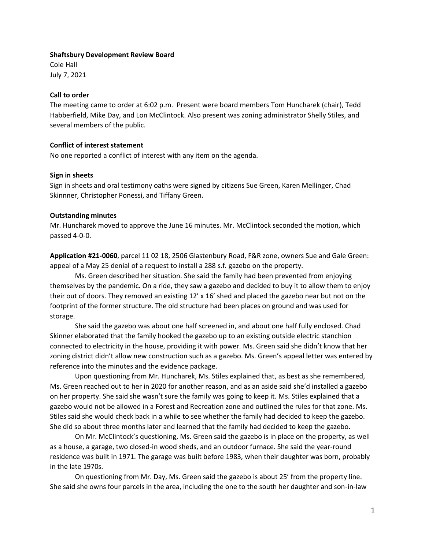### **Shaftsbury Development Review Board**

Cole Hall July 7, 2021

## **Call to order**

The meeting came to order at 6:02 p.m. Present were board members Tom Huncharek (chair), Tedd Habberfield, Mike Day, and Lon McClintock. Also present was zoning administrator Shelly Stiles, and several members of the public.

# **Conflict of interest statement**

No one reported a conflict of interest with any item on the agenda.

## **Sign in sheets**

Sign in sheets and oral testimony oaths were signed by citizens Sue Green, Karen Mellinger, Chad Skinnner, Christopher Ponessi, and Tiffany Green.

## **Outstanding minutes**

Mr. Huncharek moved to approve the June 16 minutes. Mr. McClintock seconded the motion, which passed 4-0-0.

**Application #21-0060**, parcel 11 02 18, 2506 Glastenbury Road, F&R zone, owners Sue and Gale Green: appeal of a May 25 denial of a request to install a 288 s.f. gazebo on the property.

Ms. Green described her situation. She said the family had been prevented from enjoying themselves by the pandemic. On a ride, they saw a gazebo and decided to buy it to allow them to enjoy their out of doors. They removed an existing 12' x 16' shed and placed the gazebo near but not on the footprint of the former structure. The old structure had been places on ground and was used for storage.

She said the gazebo was about one half screened in, and about one half fully enclosed. Chad Skinner elaborated that the family hooked the gazebo up to an existing outside electric stanchion connected to electricity in the house, providing it with power. Ms. Green said she didn't know that her zoning district didn't allow new construction such as a gazebo. Ms. Green's appeal letter was entered by reference into the minutes and the evidence package.

Upon questioning from Mr. Huncharek, Ms. Stiles explained that, as best as she remembered, Ms. Green reached out to her in 2020 for another reason, and as an aside said she'd installed a gazebo on her property. She said she wasn't sure the family was going to keep it. Ms. Stiles explained that a gazebo would not be allowed in a Forest and Recreation zone and outlined the rules for that zone. Ms. Stiles said she would check back in a while to see whether the family had decided to keep the gazebo. She did so about three months later and learned that the family had decided to keep the gazebo.

On Mr. McClintock's questioning, Ms. Green said the gazebo is in place on the property, as well as a house, a garage, two closed-in wood sheds, and an outdoor furnace. She said the year-round residence was built in 1971. The garage was built before 1983, when their daughter was born, probably in the late 1970s.

On questioning from Mr. Day, Ms. Green said the gazebo is about 25' from the property line. She said she owns four parcels in the area, including the one to the south her daughter and son-in-law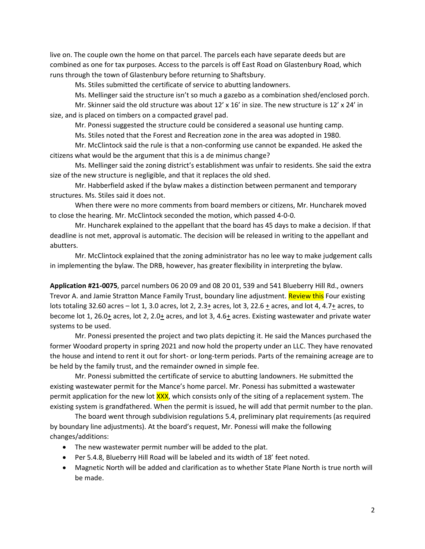live on. The couple own the home on that parcel. The parcels each have separate deeds but are combined as one for tax purposes. Access to the parcels is off East Road on Glastenbury Road, which runs through the town of Glastenbury before returning to Shaftsbury.

Ms. Stiles submitted the certificate of service to abutting landowners.

Ms. Mellinger said the structure isn't so much a gazebo as a combination shed/enclosed porch.

Mr. Skinner said the old structure was about  $12' \times 16'$  in size. The new structure is  $12' \times 24'$  in size, and is placed on timbers on a compacted gravel pad.

Mr. Ponessi suggested the structure could be considered a seasonal use hunting camp.

Ms. Stiles noted that the Forest and Recreation zone in the area was adopted in 1980.

Mr. McClintock said the rule is that a non-conforming use cannot be expanded. He asked the citizens what would be the argument that this is a de minimus change?

Ms. Mellinger said the zoning district's establishment was unfair to residents. She said the extra size of the new structure is negligible, and that it replaces the old shed.

Mr. Habberfield asked if the bylaw makes a distinction between permanent and temporary structures. Ms. Stiles said it does not.

When there were no more comments from board members or citizens, Mr. Huncharek moved to close the hearing. Mr. McClintock seconded the motion, which passed 4-0-0.

Mr. Huncharek explained to the appellant that the board has 45 days to make a decision. If that deadline is not met, approval is automatic. The decision will be released in writing to the appellant and abutters.

Mr. McClintock explained that the zoning administrator has no lee way to make judgement calls in implementing the bylaw. The DRB, however, has greater flexibility in interpreting the bylaw.

**Application #21-0075**, parcel numbers 06 20 09 and 08 20 01, 539 and 541 Blueberry Hill Rd., owners Trevor A. and Jamie Stratton Mance Family Trust, boundary line adjustment. Review this Four existing lots totaling 32.60 acres – lot 1, 3.0 acres, lot 2, 2.3+ acres, lot 3, 22.6 + acres, and lot 4, 4.7+ acres, to become lot 1, 26.0 $\pm$  acres, lot 2, 2.0 $\pm$  acres, and lot 3, 4.6 $\pm$  acres. Existing wastewater and private water systems to be used.

Mr. Ponessi presented the project and two plats depicting it. He said the Mances purchased the former Woodard property in spring 2021 and now hold the property under an LLC. They have renovated the house and intend to rent it out for short- or long-term periods. Parts of the remaining acreage are to be held by the family trust, and the remainder owned in simple fee.

Mr. Ponessi submitted the certificate of service to abutting landowners. He submitted the existing wastewater permit for the Mance's home parcel. Mr. Ponessi has submitted a wastewater permit application for the new lot XXX, which consists only of the siting of a replacement system. The existing system is grandfathered. When the permit is issued, he will add that permit number to the plan.

The board went through subdivision regulations 5.4, preliminary plat requirements (as required by boundary line adjustments). At the board's request, Mr. Ponessi will make the following changes/additions:

- The new wastewater permit number will be added to the plat.
- Per 5.4.8, Blueberry Hill Road will be labeled and its width of 18' feet noted.
- Magnetic North will be added and clarification as to whether State Plane North is true north will be made.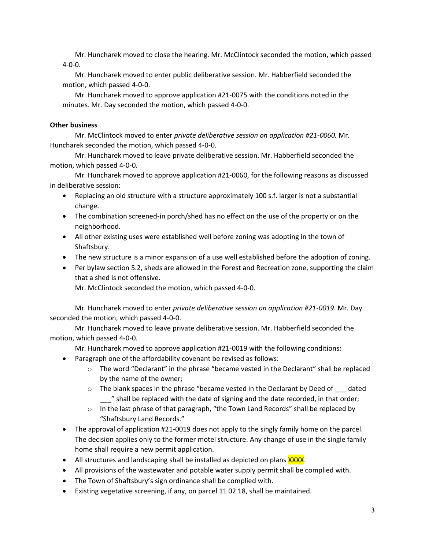Mr. Huncharek moved to close the hearing. Mr. McClintock seconded the motion, which passed 4-0-0.

Mr. Huncharek moved to enter public deliberative session. Mr. Habberfield seconded the motion, which passed 4-0-0.

Mr. Huncharek moved to approve application #21-0075 with the conditions noted in the minutes. Mr. Day seconded the motion, which passed 4-0-0.

## **Other business**

Mr. McClintock moved to enter *private deliberative session on application #21-0060.* Mr. Huncharek seconded the motion, which passed 4-0-0.

Mr. Huncharek moved to leave private deliberative session. Mr. Habberfield seconded the motion, which passed 4-0-0.

Mr. Huncharek moved to approve application #21-0060, for the following reasons as discussed in deliberative session:

- Replacing an old structure with a structure approximately 100 s.f. larger is not a substantial change.
- The combination screened-in porch/shed has no effect on the use of the property or on the neighborhood.
- All other existing uses were established well before zoning was adopting in the town of Shaftsbury.
- The new structure is a minor expansion of a use well established before the adoption of zoning.
- Per bylaw section 5.2, sheds are allowed in the Forest and Recreation zone, supporting the claim that a shed is not offensive.

Mr. McClintock seconded the motion, which passed 4-0-0.

Mr. Huncharek moved to enter *private deliberative session on application #21-0019*. Mr. Day seconded the motion, which passed 4-0-0.

Mr. Huncharek moved to leave private deliberative session. Mr. Habberfield seconded the motion, which passed 4-0-0.

Mr. Huncharek moved to approve application #21-0019 with the following conditions:

- Paragraph one of the affordability covenant be revised as follows:
	- $\circ$  The word "Declarant" in the phrase "became vested in the Declarant" shall be replaced by the name of the owner;
	- o The blank spaces in the phrase "became vested in the Declarant by Deed of \_\_\_ dated \_\_\_" shall be replaced with the date of signing and the date recorded, in that order;
	- $\circ$  In the last phrase of that paragraph, "the Town Land Records" shall be replaced by "Shaftsbury Land Records."
- The approval of application #21-0019 does not apply to the singly family home on the parcel. The decision applies only to the former motel structure. Any change of use in the single family home shall require a new permit application.
- All structures and landscaping shall be installed as depicted on plans XXXX.
- All provisions of the wastewater and potable water supply permit shall be complied with.
- The Town of Shaftsbury's sign ordinance shall be complied with.
- Existing vegetative screening, if any, on parcel 11 02 18, shall be maintained.